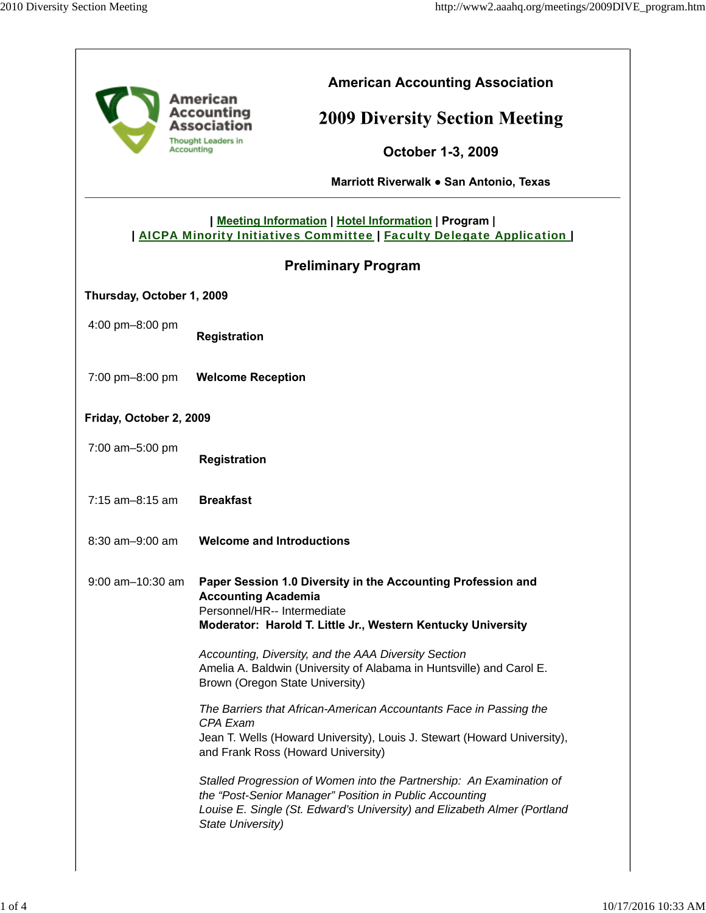|                           | <b>American Accounting Association</b><br>American                                                                                                                                                          |
|---------------------------|-------------------------------------------------------------------------------------------------------------------------------------------------------------------------------------------------------------|
|                           | Accounting<br><b>2009 Diversity Section Meeting</b><br><b>Association</b>                                                                                                                                   |
|                           | <b>Thought Leaders in</b><br>Accounting<br><b>October 1-3, 2009</b>                                                                                                                                         |
|                           | Marriott Riverwalk . San Antonio, Texas                                                                                                                                                                     |
|                           | Meeting Information   Hotel Information   Program  <br>  AICPA Minority Initiatives Committee   Faculty Delegate Application                                                                                |
|                           | <b>Preliminary Program</b>                                                                                                                                                                                  |
| Thursday, October 1, 2009 |                                                                                                                                                                                                             |
| 4:00 pm-8:00 pm           | <b>Registration</b>                                                                                                                                                                                         |
| 7:00 pm-8:00 pm           | <b>Welcome Reception</b>                                                                                                                                                                                    |
| Friday, October 2, 2009   |                                                                                                                                                                                                             |
| 7:00 am-5:00 pm           | Registration                                                                                                                                                                                                |
| $7:15$ am-8:15 am         | <b>Breakfast</b>                                                                                                                                                                                            |
| 8:30 am-9:00 am           | <b>Welcome and Introductions</b>                                                                                                                                                                            |
| 9:00 am-10:30 am          | Paper Session 1.0 Diversity in the Accounting Profession and<br><b>Accounting Academia</b><br>Personnel/HR-- Intermediate<br>Moderator: Harold T. Little Jr., Western Kentucky University                   |
|                           | Accounting, Diversity, and the AAA Diversity Section<br>Amelia A. Baldwin (University of Alabama in Huntsville) and Carol E.<br>Brown (Oregon State University)                                             |
|                           | The Barriers that African-American Accountants Face in Passing the<br>CPA Exam<br>Jean T. Wells (Howard University), Louis J. Stewart (Howard University),<br>and Frank Ross (Howard University)            |
|                           | Stalled Progression of Women into the Partnership: An Examination of<br>the "Post-Senior Manager" Position in Public Accounting<br>Louise E. Single (St. Edward's University) and Elizabeth Almer (Portland |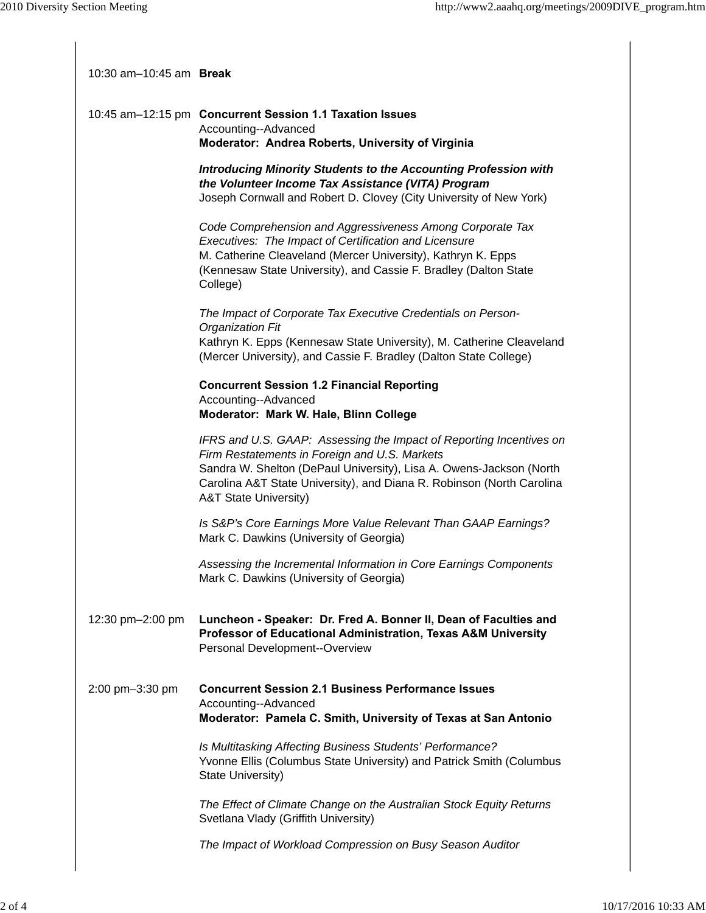| 10:30 $am-10:45$ am <b>Break</b> |                                                                                                                                                                                                                                                                                                          |
|----------------------------------|----------------------------------------------------------------------------------------------------------------------------------------------------------------------------------------------------------------------------------------------------------------------------------------------------------|
|                                  | 10:45 am-12:15 pm Concurrent Session 1.1 Taxation Issues<br>Accounting--Advanced<br>Moderator: Andrea Roberts, University of Virginia                                                                                                                                                                    |
|                                  | <b>Introducing Minority Students to the Accounting Profession with</b><br>the Volunteer Income Tax Assistance (VITA) Program<br>Joseph Cornwall and Robert D. Clovey (City University of New York)                                                                                                       |
|                                  | Code Comprehension and Aggressiveness Among Corporate Tax<br>Executives: The Impact of Certification and Licensure<br>M. Catherine Cleaveland (Mercer University), Kathryn K. Epps<br>(Kennesaw State University), and Cassie F. Bradley (Dalton State<br>College)                                       |
|                                  | The Impact of Corporate Tax Executive Credentials on Person-<br><b>Organization Fit</b>                                                                                                                                                                                                                  |
|                                  | Kathryn K. Epps (Kennesaw State University), M. Catherine Cleaveland<br>(Mercer University), and Cassie F. Bradley (Dalton State College)                                                                                                                                                                |
|                                  | <b>Concurrent Session 1.2 Financial Reporting</b><br>Accounting--Advanced<br>Moderator: Mark W. Hale, Blinn College                                                                                                                                                                                      |
|                                  | IFRS and U.S. GAAP: Assessing the Impact of Reporting Incentives on<br>Firm Restatements in Foreign and U.S. Markets<br>Sandra W. Shelton (DePaul University), Lisa A. Owens-Jackson (North<br>Carolina A&T State University), and Diana R. Robinson (North Carolina<br><b>A&amp;T State University)</b> |
|                                  | Is S&P's Core Earnings More Value Relevant Than GAAP Earnings?<br>Mark C. Dawkins (University of Georgia)                                                                                                                                                                                                |
|                                  | Assessing the Incremental Information in Core Earnings Components<br>Mark C. Dawkins (University of Georgia)                                                                                                                                                                                             |
| 12:30 pm-2:00 pm                 | Luncheon - Speaker: Dr. Fred A. Bonner II, Dean of Faculties and<br>Professor of Educational Administration, Texas A&M University<br>Personal Development--Overview                                                                                                                                      |
| 2:00 pm-3:30 pm                  | <b>Concurrent Session 2.1 Business Performance Issues</b><br>Accounting--Advanced<br>Moderator: Pamela C. Smith, University of Texas at San Antonio                                                                                                                                                      |
|                                  | Is Multitasking Affecting Business Students' Performance?<br>Yvonne Ellis (Columbus State University) and Patrick Smith (Columbus<br>State University)                                                                                                                                                   |
|                                  | The Effect of Climate Change on the Australian Stock Equity Returns<br>Svetlana Vlady (Griffith University)                                                                                                                                                                                              |
|                                  | The Impact of Workload Compression on Busy Season Auditor                                                                                                                                                                                                                                                |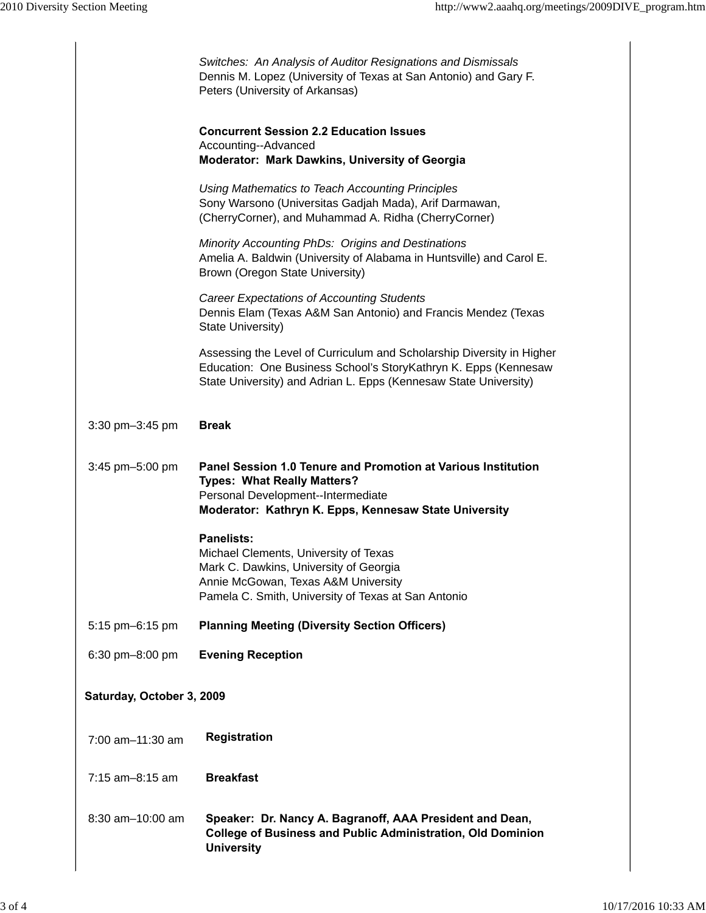|                           | Switches: An Analysis of Auditor Resignations and Dismissals<br>Dennis M. Lopez (University of Texas at San Antonio) and Gary F.<br>Peters (University of Arkansas)                                          |  |
|---------------------------|--------------------------------------------------------------------------------------------------------------------------------------------------------------------------------------------------------------|--|
|                           | <b>Concurrent Session 2.2 Education Issues</b><br>Accounting--Advanced<br>Moderator: Mark Dawkins, University of Georgia                                                                                     |  |
|                           | Using Mathematics to Teach Accounting Principles<br>Sony Warsono (Universitas Gadjah Mada), Arif Darmawan,<br>(CherryCorner), and Muhammad A. Ridha (CherryCorner)                                           |  |
|                           | Minority Accounting PhDs: Origins and Destinations<br>Amelia A. Baldwin (University of Alabama in Huntsville) and Carol E.<br>Brown (Oregon State University)                                                |  |
|                           | <b>Career Expectations of Accounting Students</b><br>Dennis Elam (Texas A&M San Antonio) and Francis Mendez (Texas<br>State University)                                                                      |  |
|                           | Assessing the Level of Curriculum and Scholarship Diversity in Higher<br>Education: One Business School's StoryKathryn K. Epps (Kennesaw<br>State University) and Adrian L. Epps (Kennesaw State University) |  |
| 3:30 pm-3:45 pm           | <b>Break</b>                                                                                                                                                                                                 |  |
| 3:45 pm-5:00 pm           | Panel Session 1.0 Tenure and Promotion at Various Institution<br><b>Types: What Really Matters?</b><br>Personal Development--Intermediate<br>Moderator: Kathryn K. Epps, Kennesaw State University           |  |
|                           | <b>Panelists:</b><br>Michael Clements, University of Texas<br>Mark C. Dawkins, University of Georgia<br>Annie McGowan, Texas A&M University<br>Pamela C. Smith, University of Texas at San Antonio           |  |
| 5:15 pm-6:15 pm           | <b>Planning Meeting (Diversity Section Officers)</b>                                                                                                                                                         |  |
| 6:30 pm-8:00 pm           | <b>Evening Reception</b>                                                                                                                                                                                     |  |
| Saturday, October 3, 2009 |                                                                                                                                                                                                              |  |
| 7:00 am-11:30 am          | <b>Registration</b>                                                                                                                                                                                          |  |
| 7:15 am-8:15 am           | <b>Breakfast</b>                                                                                                                                                                                             |  |
| 8:30 am-10:00 am          | Speaker: Dr. Nancy A. Bagranoff, AAA President and Dean,<br><b>College of Business and Public Administration, Old Dominion</b><br><b>University</b>                                                          |  |